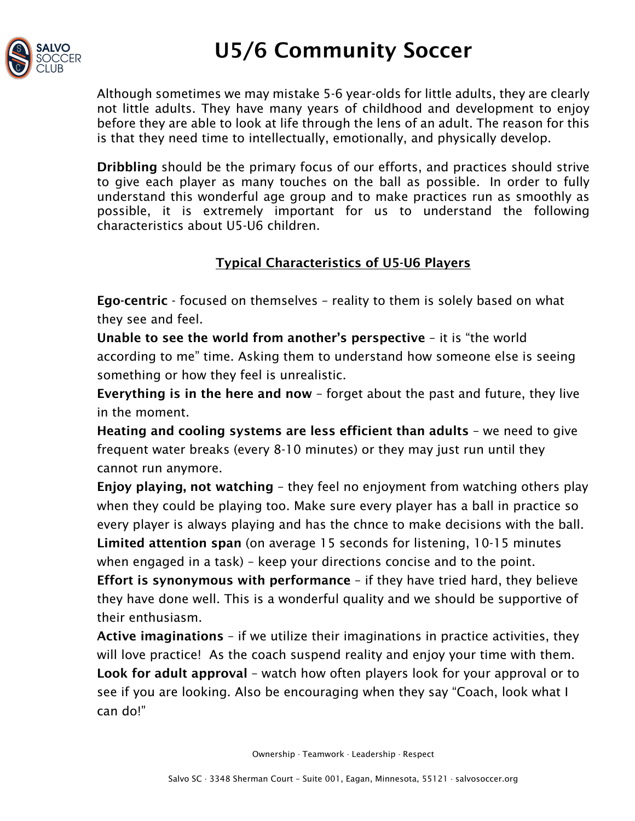

## U5/6 Community Soccer

Although sometimes we may mistake 5-6 year-olds for little adults, they are clearly not little adults. They have many years of childhood and development to enjoy before they are able to look at life through the lens of an adult. The reason for this is that they need time to intellectually, emotionally, and physically develop.

Dribbling should be the primary focus of our efforts, and practices should strive to give each player as many touches on the ball as possible. In order to fully understand this wonderful age group and to make practices run as smoothly as possible, it is extremely important for us to understand the following characteristics about U5-U6 children.

### Typical Characteristics of U5-U6 Players

Ego-centric - focused on themselves – reality to them is solely based on what they see and feel.

Unable to see the world from another's perspective – it is "the world according to me" time. Asking them to understand how someone else is seeing something or how they feel is unrealistic.

Everything is in the here and now – forget about the past and future, they live in the moment.

Heating and cooling systems are less efficient than adults – we need to give frequent water breaks (every 8-10 minutes) or they may just run until they cannot run anymore.

Enjoy playing, not watching – they feel no enjoyment from watching others play when they could be playing too. Make sure every player has a ball in practice so every player is always playing and has the chnce to make decisions with the ball. Limited attention span (on average 15 seconds for listening, 10-15 minutes when engaged in a task) – keep your directions concise and to the point.

Effort is synonymous with performance – if they have tried hard, they believe they have done well. This is a wonderful quality and we should be supportive of their enthusiasm.

Active imaginations – if we utilize their imaginations in practice activities, they will love practice! As the coach suspend reality and enjoy your time with them. Look for adult approval – watch how often players look for your approval or to see if you are looking. Also be encouraging when they say "Coach, look what I can do!"